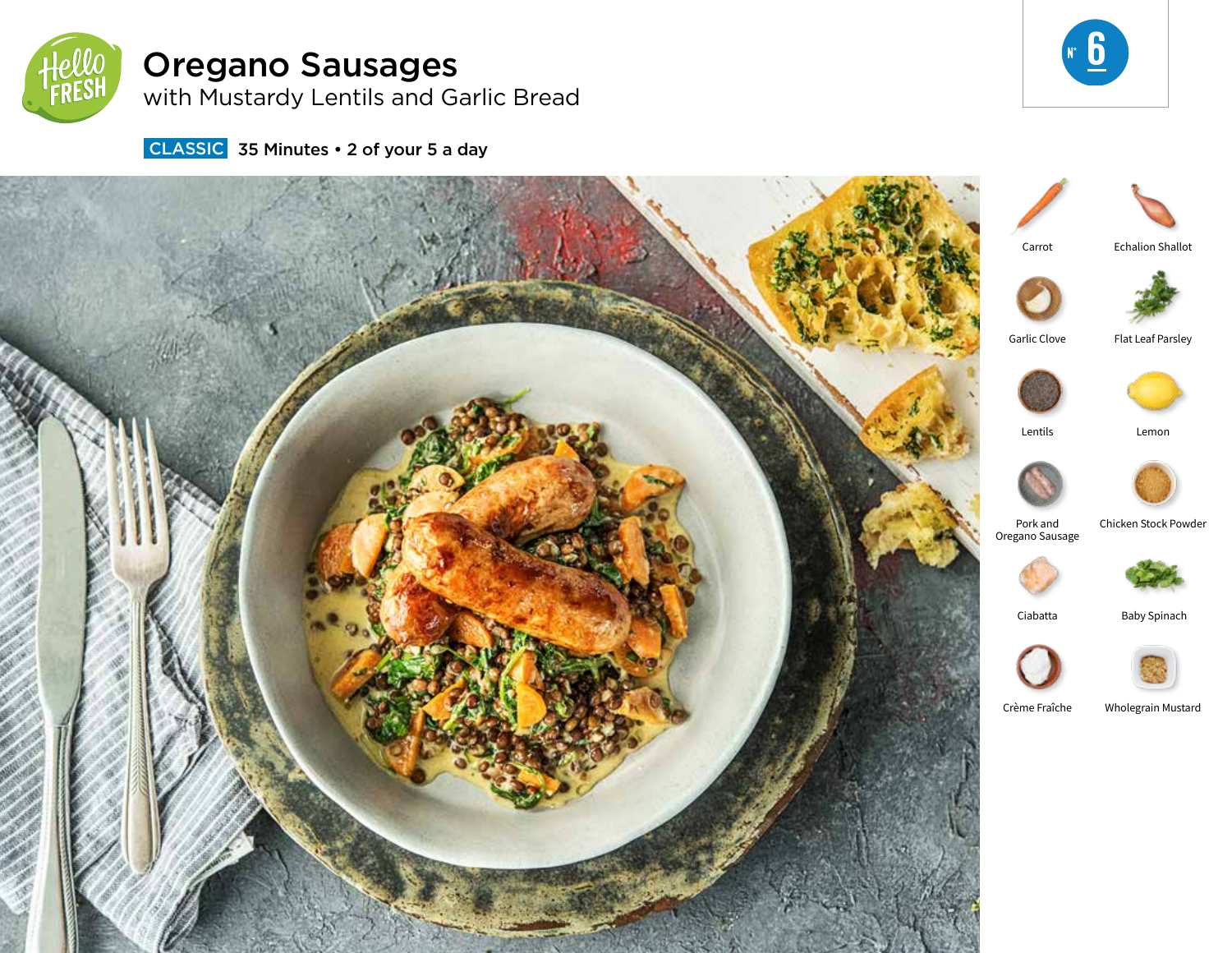

# Oregano Sausages

with Mustardy Lentils and Garlic Bread



**CLASSIC** 35 Minutes • 2 of your 5 a day